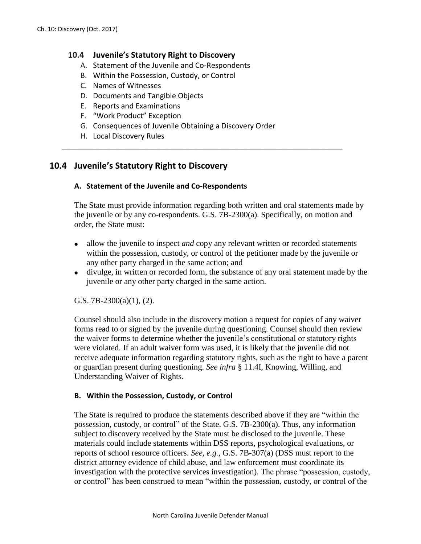# **10.4 Juvenile's Statutory Right to Discovery**

- A. Statement of the Juvenile and Co-Respondents
- B. Within the Possession, Custody, or Control
- C. Names of Witnesses
- D. Documents and Tangible Objects
- E. Reports and Examinations
- F. "Work Product" Exception
- G. Consequences of Juvenile Obtaining a Discovery Order

\_\_\_\_\_\_\_\_\_\_\_\_\_\_\_\_\_\_\_\_\_\_\_\_\_\_\_\_\_\_\_\_\_\_\_\_\_\_\_\_\_\_\_\_\_\_\_\_\_\_\_\_\_\_\_\_\_\_\_\_\_\_\_\_\_\_\_\_

H. Local Discovery Rules

# **10.4 Juvenile's Statutory Right to Discovery**

# **A. Statement of the Juvenile and Co-Respondents**

The State must provide information regarding both written and oral statements made by the juvenile or by any co-respondents. G.S. 7B-2300(a). Specifically, on motion and order, the State must:

- allow the juvenile to inspect *and* copy any relevant written or recorded statements within the possession, custody, or control of the petitioner made by the juvenile or any other party charged in the same action; and
- divulge, in written or recorded form, the substance of any oral statement made by the juvenile or any other party charged in the same action.

### G.S.  $7B-2300(a)(1)$ , (2).

Counsel should also include in the discovery motion a request for copies of any waiver forms read to or signed by the juvenile during questioning. Counsel should then review the waiver forms to determine whether the juvenile's constitutional or statutory rights were violated. If an adult waiver form was used, it is likely that the juvenile did not receive adequate information regarding statutory rights, such as the right to have a parent or guardian present during questioning. *See infra* § 11.4I, Knowing, Willing, and Understanding Waiver of Rights.

### **B. Within the Possession, Custody, or Control**

The State is required to produce the statements described above if they are "within the possession, custody, or control" of the State. G.S. 7B-2300(a). Thus, any information subject to discovery received by the State must be disclosed to the juvenile. These materials could include statements within DSS reports, psychological evaluations, or reports of school resource officers. *See, e.g.,* G.S. 7B-307(a) (DSS must report to the district attorney evidence of child abuse, and law enforcement must coordinate its investigation with the protective services investigation). The phrase "possession, custody, or control" has been construed to mean "within the possession, custody, or control of the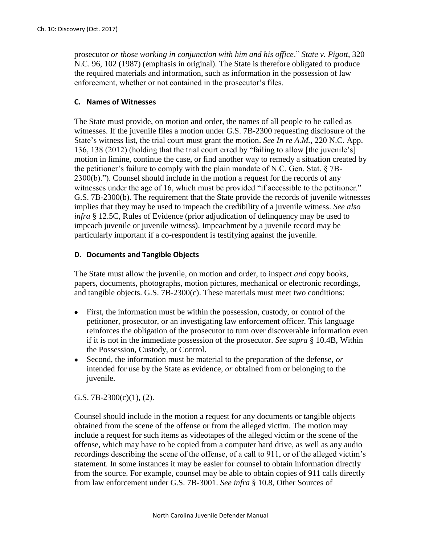prosecutor *or those working in conjunction with him and his office*." *State v. Pigott*, 320 N.C. 96, 102 (1987) (emphasis in original). The State is therefore obligated to produce the required materials and information, such as information in the possession of law enforcement, whether or not contained in the prosecutor's files.

### **C. Names of Witnesses**

The State must provide, on motion and order, the names of all people to be called as witnesses. If the juvenile files a motion under G.S. 7B-2300 requesting disclosure of the State's witness list, the trial court must grant the motion. *See In re A.M.*, 220 N.C. App. 136, 138 (2012) (holding that the trial court erred by "failing to allow [the juvenile's] motion in limine, continue the case, or find another way to remedy a situation created by the petitioner's failure to comply with the plain mandate of N.C. Gen. Stat. § 7B-2300(b)."). Counsel should include in the motion a request for the records of any witnesses under the age of 16, which must be provided "if accessible to the petitioner." G.S. 7B-2300(b). The requirement that the State provide the records of juvenile witnesses implies that they may be used to impeach the credibility of a juvenile witness. *See also infra* § 12.5C, Rules of Evidence (prior adjudication of delinquency may be used to impeach juvenile or juvenile witness). Impeachment by a juvenile record may be particularly important if a co-respondent is testifying against the juvenile.

### **D. Documents and Tangible Objects**

The State must allow the juvenile, on motion and order, to inspect *and* copy books, papers, documents, photographs, motion pictures, mechanical or electronic recordings, and tangible objects. G.S. 7B-2300(c). These materials must meet two conditions:

- First, the information must be within the possession, custody, or control of the petitioner, prosecutor, or an investigating law enforcement officer. This language reinforces the obligation of the prosecutor to turn over discoverable information even if it is not in the immediate possession of the prosecutor. *See supra* § 10.4B, Within the Possession, Custody, or Control.
- Second, the information must be material to the preparation of the defense, *or*  intended for use by the State as evidence, *or* obtained from or belonging to the juvenile.

### G.S.  $7B-2300(c)(1)$ , (2).

Counsel should include in the motion a request for any documents or tangible objects obtained from the scene of the offense or from the alleged victim. The motion may include a request for such items as videotapes of the alleged victim or the scene of the offense, which may have to be copied from a computer hard drive, as well as any audio recordings describing the scene of the offense, of a call to 911, or of the alleged victim's statement. In some instances it may be easier for counsel to obtain information directly from the source. For example, counsel may be able to obtain copies of 911 calls directly from law enforcement under G.S. 7B-3001. *See infra* § 10.8, Other Sources of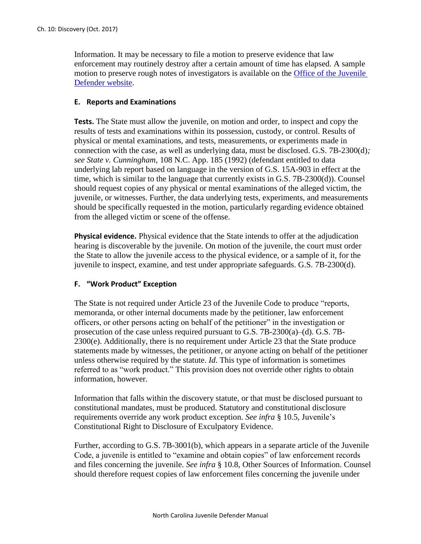Information. It may be necessary to file a motion to preserve evidence that law enforcement may routinely destroy after a certain amount of time has elapsed. A sample motion to preserve rough notes of investigators is available on the **Office of the Juvenile** [Defender website.](https://ncjuveniledefender.wordpress.com/information-for-defenders/materials-for-defenders/juvenile-defender-trial-motions-and-forms-index/)

#### **E. Reports and Examinations**

**Tests.** The State must allow the juvenile, on motion and order, to inspect and copy the results of tests and examinations within its possession, custody, or control. Results of physical or mental examinations, and tests, measurements, or experiments made in connection with the case, as well as underlying data, must be disclosed. G.S. 7B-2300(d)*; see State v. Cunningham*, 108 N.C. App. 185 (1992) (defendant entitled to data underlying lab report based on language in the version of G.S. 15A-903 in effect at the time, which is similar to the language that currently exists in G.S. 7B-2300(d)). Counsel should request copies of any physical or mental examinations of the alleged victim, the juvenile, or witnesses. Further, the data underlying tests, experiments, and measurements should be specifically requested in the motion, particularly regarding evidence obtained from the alleged victim or scene of the offense.

**Physical evidence.** Physical evidence that the State intends to offer at the adjudication hearing is discoverable by the juvenile. On motion of the juvenile, the court must order the State to allow the juvenile access to the physical evidence, or a sample of it, for the juvenile to inspect, examine, and test under appropriate safeguards. G.S. 7B-2300(d).

### **F. "Work Product" Exception**

The State is not required under Article 23 of the Juvenile Code to produce "reports, memoranda, or other internal documents made by the petitioner, law enforcement officers, or other persons acting on behalf of the petitioner" in the investigation or prosecution of the case unless required pursuant to G.S. 7B-2300(a)–(d). G.S. 7B-2300(e). Additionally, there is no requirement under Article 23 that the State produce statements made by witnesses, the petitioner, or anyone acting on behalf of the petitioner unless otherwise required by the statute. *Id*. This type of information is sometimes referred to as "work product." This provision does not override other rights to obtain information, however.

Information that falls within the discovery statute, or that must be disclosed pursuant to constitutional mandates, must be produced. Statutory and constitutional disclosure requirements override any work product exception. *See infra* § 10.5, Juvenile's Constitutional Right to Disclosure of Exculpatory Evidence.

Further, according to G.S. 7B-3001(b), which appears in a separate article of the Juvenile Code, a juvenile is entitled to "examine and obtain copies" of law enforcement records and files concerning the juvenile. *See infra* § 10.8, Other Sources of Information. Counsel should therefore request copies of law enforcement files concerning the juvenile under